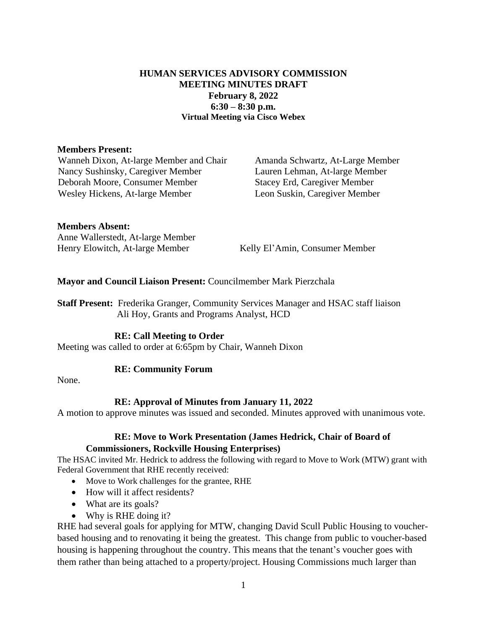# **HUMAN SERVICES ADVISORY COMMISSION MEETING MINUTES DRAFT February 8, 2022 6:30 – 8:30 p.m. Virtual Meeting via Cisco Webex**

### **Members Present:**

Wanneh Dixon, At-large Member and Chair Amanda Schwartz, At-Large Member Nancy Sushinsky, Caregiver Member Lauren Lehman, At-large Member Deborah Moore, Consumer Member Wesley Hickens, At-large Member

Stacey Erd, Caregiver Member Leon Suskin, Caregiver Member

### **Members Absent:**

Anne Wallerstedt, At-large Member Henry Elowitch, At-large Member Kelly El'Amin, Consumer Member

**Mayor and Council Liaison Present:** Councilmember Mark Pierzchala

**Staff Present:** Frederika Granger, Community Services Manager and HSAC staff liaison Ali Hoy, Grants and Programs Analyst, HCD

## **RE: Call Meeting to Order**

Meeting was called to order at 6:65pm by Chair, Wanneh Dixon

## **RE: Community Forum**

None.

## **RE: Approval of Minutes from January 11, 2022**

A motion to approve minutes was issued and seconded. Minutes approved with unanimous vote.

# **RE: Move to Work Presentation (James Hedrick, Chair of Board of Commissioners, Rockville Housing Enterprises)**

The HSAC invited Mr. Hedrick to address the following with regard to Move to Work (MTW) grant with Federal Government that RHE recently received:

- Move to Work challenges for the grantee, RHE
- How will it affect residents?
- What are its goals?
- Why is RHE doing it?

RHE had several goals for applying for MTW, changing David Scull Public Housing to voucherbased housing and to renovating it being the greatest. This change from public to voucher-based housing is happening throughout the country. This means that the tenant's voucher goes with them rather than being attached to a property/project. Housing Commissions much larger than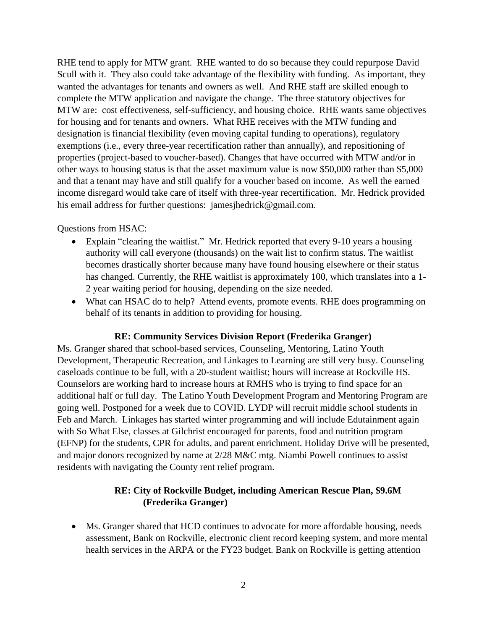RHE tend to apply for MTW grant. RHE wanted to do so because they could repurpose David Scull with it. They also could take advantage of the flexibility with funding. As important, they wanted the advantages for tenants and owners as well. And RHE staff are skilled enough to complete the MTW application and navigate the change. The three statutory objectives for MTW are: cost effectiveness, self-sufficiency, and housing choice. RHE wants same objectives for housing and for tenants and owners. What RHE receives with the MTW funding and designation is financial flexibility (even moving capital funding to operations), regulatory exemptions (i.e., every three-year recertification rather than annually), and repositioning of properties (project-based to voucher-based). Changes that have occurred with MTW and/or in other ways to housing status is that the asset maximum value is now \$50,000 rather than \$5,000 and that a tenant may have and still qualify for a voucher based on income. As well the earned income disregard would take care of itself with three-year recertification. Mr. Hedrick provided his email address for further questions: jamesjhedrick@gmail.com.

Questions from HSAC:

- Explain "clearing the waitlist." Mr. Hedrick reported that every 9-10 years a housing authority will call everyone (thousands) on the wait list to confirm status. The waitlist becomes drastically shorter because many have found housing elsewhere or their status has changed. Currently, the RHE waitlist is approximately 100, which translates into a 1- 2 year waiting period for housing, depending on the size needed.
- What can HSAC do to help? Attend events, promote events. RHE does programming on behalf of its tenants in addition to providing for housing.

# **RE: Community Services Division Report (Frederika Granger)**

Ms. Granger shared that school-based services, Counseling, Mentoring, Latino Youth Development, Therapeutic Recreation, and Linkages to Learning are still very busy. Counseling caseloads continue to be full, with a 20-student waitlist; hours will increase at Rockville HS. Counselors are working hard to increase hours at RMHS who is trying to find space for an additional half or full day. The Latino Youth Development Program and Mentoring Program are going well. Postponed for a week due to COVID. LYDP will recruit middle school students in Feb and March. Linkages has started winter programming and will include Edutainment again with So What Else, classes at Gilchrist encouraged for parents, food and nutrition program (EFNP) for the students, CPR for adults, and parent enrichment. Holiday Drive will be presented, and major donors recognized by name at 2/28 M&C mtg. Niambi Powell continues to assist residents with navigating the County rent relief program.

# **RE: City of Rockville Budget, including American Rescue Plan, \$9.6M (Frederika Granger)**

 Ms. Granger shared that HCD continues to advocate for more affordable housing, needs assessment, Bank on Rockville, electronic client record keeping system, and more mental health services in the ARPA or the FY23 budget. Bank on Rockville is getting attention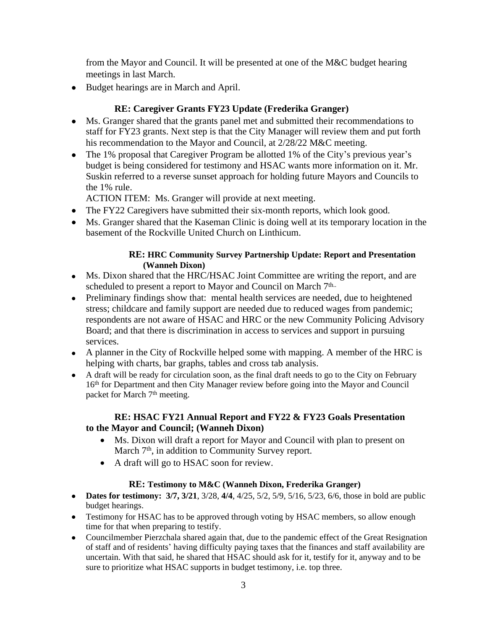from the Mayor and Council. It will be presented at one of the M&C budget hearing meetings in last March.

Budget hearings are in March and April.

# **RE: Caregiver Grants FY23 Update (Frederika Granger)**

- Ms. Granger shared that the grants panel met and submitted their recommendations to staff for FY23 grants. Next step is that the City Manager will review them and put forth his recommendation to the Mayor and Council, at 2/28/22 M&C meeting.
- The 1% proposal that Caregiver Program be allotted 1% of the City's previous year's budget is being considered for testimony and HSAC wants more information on it. Mr. Suskin referred to a reverse sunset approach for holding future Mayors and Councils to the 1% rule.

ACTION ITEM: Ms. Granger will provide at next meeting.

- The FY22 Caregivers have submitted their six-month reports, which look good.
- Ms. Granger shared that the Kaseman Clinic is doing well at its temporary location in the basement of the Rockville United Church on Linthicum.

## **RE: HRC Community Survey Partnership Update: Report and Presentation (Wanneh Dixon)**

- Ms. Dixon shared that the HRC/HSAC Joint Committee are writing the report, and are scheduled to present a report to Mayor and Council on March 7th..
- Preliminary findings show that: mental health services are needed, due to heightened stress; childcare and family support are needed due to reduced wages from pandemic; respondents are not aware of HSAC and HRC or the new Community Policing Advisory Board; and that there is discrimination in access to services and support in pursuing services.
- A planner in the City of Rockville helped some with mapping. A member of the HRC is helping with charts, bar graphs, tables and cross tab analysis.
- A draft will be ready for circulation soon, as the final draft needs to go to the City on February 16<sup>th</sup> for Department and then City Manager review before going into the Mayor and Council packet for March 7<sup>th</sup> meeting.

# **RE: HSAC FY21 Annual Report and FY22 & FY23 Goals Presentation to the Mayor and Council; (Wanneh Dixon)**

- Ms. Dixon will draft a report for Mayor and Council with plan to present on March 7<sup>th</sup>, in addition to Community Survey report.
- A draft will go to HSAC soon for review.

# **RE: Testimony to M&C (Wanneh Dixon, Frederika Granger)**

- **Dates for testimony: 3/7, 3/21**, 3/28, 4/4, 4/25, 5/2, 5/9, 5/16, 5/23, 6/6, those in bold are public budget hearings.
- Testimony for HSAC has to be approved through voting by HSAC members, so allow enough time for that when preparing to testify.
- Councilmember Pierzchala shared again that, due to the pandemic effect of the Great Resignation of staff and of residents' having difficulty paying taxes that the finances and staff availability are uncertain. With that said, he shared that HSAC should ask for it, testify for it, anyway and to be sure to prioritize what HSAC supports in budget testimony, i.e. top three.